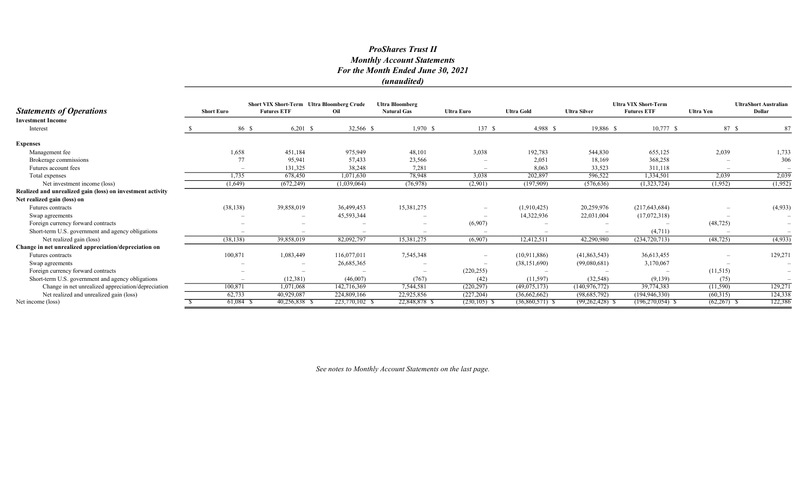### ProShares Trust II Monthly Account Statements For the Month Ended June 30, 2021 (unaudited)

| <b>Statements of Operations</b>                            | <b>Short Euro</b> |                          | <b>Short VIX Short-Term Ultra Bloomberg Crude</b><br><b>Futures ETF</b> | Oil                             | <b>Ultra Bloomberg</b><br><b>Natural Gas</b> | <b>Ultra Euro</b> | <b>Ultra Gold</b>        | <b>Ultra Silver</b> | <b>Ultra VIX Short-Term</b><br><b>Futures ETF</b> | <b>Ultra Yen</b> | <b>UltraShort Australian</b><br>Dollar |
|------------------------------------------------------------|-------------------|--------------------------|-------------------------------------------------------------------------|---------------------------------|----------------------------------------------|-------------------|--------------------------|---------------------|---------------------------------------------------|------------------|----------------------------------------|
| <b>Investment Income</b>                                   |                   |                          |                                                                         |                                 |                                              |                   |                          |                     |                                                   |                  |                                        |
| Interest                                                   |                   | 86 \$                    | $6,201$ \$                                                              | 32,566 \$                       | $1,970$ \$                                   | 137S              | 4,988 \$                 | 19,886 \$           | $10,777$ \$                                       | 87 \$            | 87                                     |
| <b>Expenses</b>                                            |                   |                          |                                                                         |                                 |                                              |                   |                          |                     |                                                   |                  |                                        |
| Management fee                                             |                   | 1,658                    | 451,184                                                                 | 975,949                         | 48,101                                       | 3,038             | 192,783                  | 544,830             | 655,125                                           | 2,039            | 1,733                                  |
| Brokerage commissions                                      |                   | 77                       | 95,941                                                                  | 57,433                          | 23,566                                       |                   | 2,051                    | 18,169              | 368,258                                           |                  | 306                                    |
| Futures account fees                                       |                   | $\overline{\phantom{a}}$ | 131,325                                                                 | 38,248                          | 7,281                                        |                   | 8,063                    | 33,523              | 311,118                                           |                  |                                        |
| Total expenses                                             |                   | 1,735                    | 678,450                                                                 | 1,071,630                       | 78,948                                       | 3,038             | 202,897                  | 596,522             | 1,334,501                                         | 2,039            | 2,039                                  |
| Net investment income (loss)                               | (1,649)           |                          | (672, 249)                                                              | (1,039,064)                     | (76, 978)                                    | (2,901)           | (197,909)                | (576, 636)          | (1,323,724)                                       | (1,952)          | (1,952)                                |
| Realized and unrealized gain (loss) on investment activity |                   |                          |                                                                         |                                 |                                              |                   |                          |                     |                                                   |                  |                                        |
| Net realized gain (loss) on                                |                   |                          |                                                                         |                                 |                                              |                   |                          |                     |                                                   |                  |                                        |
| Futures contracts                                          | (38, 138)         |                          | 39,858,019                                                              | 36,499,453                      | 15,381,275                                   |                   | (1,910,425)              | 20,259,976          | (217, 643, 684)                                   |                  | (4,933)                                |
| Swap agreements                                            |                   |                          |                                                                         | 45,593,344                      | $\overline{\phantom{0}}$                     |                   | 14,322,936               | 22,031,004          | (17,072,318)                                      |                  | $\overline{\phantom{m}}$               |
| Foreign currency forward contracts                         |                   |                          |                                                                         | $\hspace{0.1mm}-\hspace{0.1mm}$ |                                              | (6,907)           | $\overline{\phantom{a}}$ |                     |                                                   | (48, 725)        | $\overline{\phantom{a}}$               |
| Short-term U.S. government and agency obligations          |                   |                          |                                                                         |                                 |                                              |                   |                          |                     | (4,711)                                           |                  |                                        |
| Net realized gain (loss)                                   | (38, 138)         |                          | 39,858,019                                                              | 82,092,797                      | 15,381,275                                   | (6,907)           | 12,412,511               | 42,290,980          | (234, 720, 713)                                   | (48, 725)        | (4,933)                                |
| Change in net unrealized appreciation/depreciation on      |                   |                          |                                                                         |                                 |                                              |                   |                          |                     |                                                   |                  |                                        |
| <b>Futures</b> contracts                                   | 100,871           |                          | 1,083,449                                                               | 116,077,011                     | 7,545,348                                    |                   | (10,911,886)             | (41,863,543)        | 36,613,455                                        |                  | 129,271                                |
| Swap agreements                                            |                   |                          |                                                                         | 26,685,365                      |                                              |                   | (38, 151, 690)           | (99,080,681)        | 3,170,067                                         |                  |                                        |
| Foreign currency forward contracts                         |                   |                          | $\overline{\phantom{a}}$                                                |                                 | $\qquad \qquad -$                            | (220, 255)        |                          |                     |                                                   | (11,515)         | $\overline{\phantom{m}}$               |
| Short-term U.S. government and agency obligations          |                   |                          | (12, 381)                                                               | (46,007)                        | (767)                                        | (42)              | (11,597)                 | (32, 548)           | (9,139)                                           | (75)             |                                        |
| Change in net unrealized appreciation/depreciation         | 100,871           |                          | 1,071,068                                                               | 142,716,369                     | 7,544,581                                    | (220, 297)        | (49,075,173)             | (140, 976, 772)     | 39,774,383                                        | (11,590)         | 129,271                                |
| Net realized and unrealized gain (loss)                    | 62,733            |                          | 40,929,087                                                              | 224,809,166                     | 22,925,856                                   | (227, 204)        | (36,662,662)             | (98,685,792)        | (194, 946, 330)                                   | (60,315)         | 124,338                                |
| Net income (loss)                                          |                   | $61,084$ \$              | 40,256,838 \$                                                           | 223,770,102 \$                  | 22,848,878 \$                                | $(230, 105)$ \$   | $(36,860,571)$ \$        | $(99,262,428)$ \$   | $(196, 270, 054)$ \$                              | (62, 267)        | 122,386                                |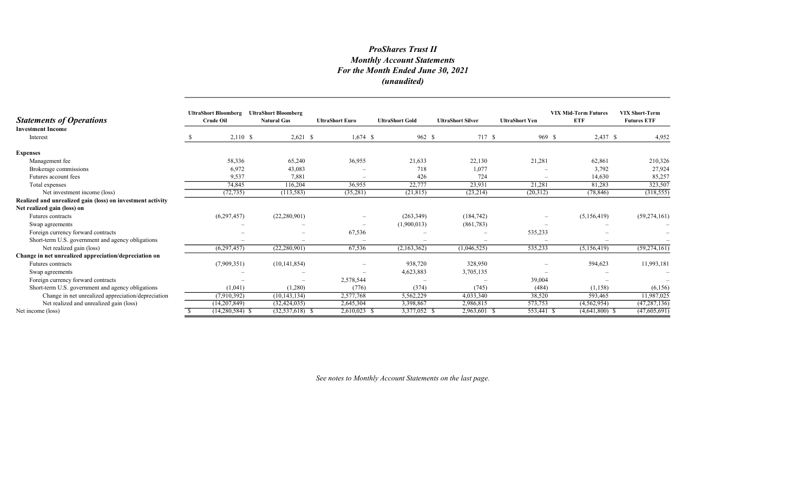# ProShares Trust II Monthly Account Statements For the Month Ended June 30, 2021 (unaudited)

| <b>Statements of Operations</b>                            | <b>UltraShort Bloomberg</b><br><b>Crude Oil</b> | <b>UltraShort Bloomberg</b><br><b>Natural Gas</b> | <b>UltraShort Euro</b> | <b>UltraShort Gold</b> | <b>UltraShort Silver</b> | <b>UltraShort Yen</b>    | <b>VIX Mid-Term Futures</b><br><b>ETF</b> | <b>VIX Short-Term</b><br><b>Futures ETF</b> |
|------------------------------------------------------------|-------------------------------------------------|---------------------------------------------------|------------------------|------------------------|--------------------------|--------------------------|-------------------------------------------|---------------------------------------------|
| <b>Investment Income</b><br>Interest                       | $2,110$ \$                                      | $2,621$ \$                                        | $1,674$ \$             | 962 \$                 | 717 \$                   | 969 \$                   | $2,437$ \$                                | 4,952                                       |
| <b>Expenses</b>                                            |                                                 |                                                   |                        |                        |                          |                          |                                           |                                             |
| Management fee                                             | 58,336                                          | 65,240                                            | 36,955                 | 21,633                 | 22,130                   | 21,281                   | 62,861                                    | 210,326                                     |
| Brokerage commissions                                      | 6,972                                           | 43,083                                            |                        | 718                    | 1,077                    |                          | 3,792                                     | 27,924                                      |
| Futures account fees                                       | 9,537                                           | 7,881                                             |                        | 426                    | 724                      | $\overline{\phantom{0}}$ | 14,630                                    | 85,257                                      |
| Total expenses                                             | 74,845                                          | 116,204                                           | 36,955                 | 22,777                 | 23,931                   | 21,281                   | 81,283                                    | 323,507                                     |
| Net investment income (loss)                               | (72, 735)                                       | (113, 583)                                        | (35,281)               | (21, 815)              | (23,214)                 | (20,312)                 | (78, 846)                                 | (318, 555)                                  |
| Realized and unrealized gain (loss) on investment activity |                                                 |                                                   |                        |                        |                          |                          |                                           |                                             |
| Net realized gain (loss) on                                |                                                 |                                                   |                        |                        |                          |                          |                                           |                                             |
| Futures contracts                                          | (6,297,457)                                     | (22, 280, 901)                                    |                        | (263, 349)             | (184, 742)               | $\overline{\phantom{0}}$ | (5,156,419)                               | (59, 274, 161)                              |
| Swap agreements                                            |                                                 |                                                   |                        | (1,900,013)            | (861,783)                |                          |                                           |                                             |
| Foreign currency forward contracts                         |                                                 |                                                   | 67,536                 |                        |                          | 535,233                  |                                           |                                             |
| Short-term U.S. government and agency obligations          |                                                 |                                                   |                        |                        |                          |                          |                                           |                                             |
| Net realized gain (loss)                                   | (6,297,457)                                     | (22, 280, 901)                                    | 67,536                 | (2,163,362)            | (1,046,525)              | 535,233                  | (5,156,419)                               | (59, 274, 161)                              |
| Change in net unrealized appreciation/depreciation on      |                                                 |                                                   |                        |                        |                          |                          |                                           |                                             |
| Futures contracts                                          | (7,909,351)                                     | (10, 141, 854)                                    |                        | 938,720                | 328,950                  | $\overline{\phantom{0}}$ | 594,623                                   | 11,993,181                                  |
| Swap agreements                                            |                                                 |                                                   |                        | 4,623,883              | 3,705,135                |                          |                                           |                                             |
| Foreign currency forward contracts                         |                                                 |                                                   | 2,578,544              |                        |                          | 39,004                   |                                           |                                             |
| Short-term U.S. government and agency obligations          | (1,041)                                         | (1,280)                                           | (776)                  | (374)                  | (745)                    | (484)                    | (1,158)                                   | (6,156)                                     |
| Change in net unrealized appreciation/depreciation         | (7,910,392)                                     | (10, 143, 134)                                    | 2,577,768              | 5,562,229              | 4,033,340                | 38,520                   | 593,465                                   | 11,987,025                                  |
| Net realized and unrealized gain (loss)                    | (14,207,849)                                    | (32, 424, 035)                                    | 2,645,304              | 3,398,867              | 2,986,815                | 573,753                  | (4,562,954)                               | (47, 287, 136)                              |
| Net income (loss)                                          | $(14,280,584)$ \$                               | $(32, 537, 618)$ \$                               | $2,610,023$ \$         | 3,377,052 \$           | 2,963,601 \$             | 553,441 \$               | $(4,641,800)$ \$                          | (47,605,691)                                |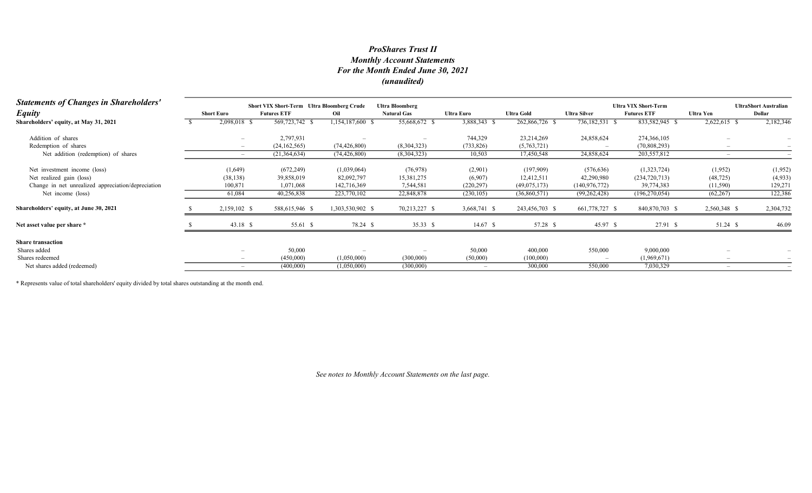# Monthly Account Statements For the Month Ended June 30, 2021 (unaudited) ProShares Trust II

| <b>Statements of Changes in Shareholders'</b>      |  | <b>Short VIX Short-Term Ultra Bloomberg Crude</b><br><b>Ultra Bloomberg</b> |                    |                          |                    |                   |                   |                     | <b>Ultra VIX Short-Term</b> |                  |                                        |  |
|----------------------------------------------------|--|-----------------------------------------------------------------------------|--------------------|--------------------------|--------------------|-------------------|-------------------|---------------------|-----------------------------|------------------|----------------------------------------|--|
| <b>Equity</b>                                      |  | <b>Short Euro</b>                                                           | <b>Futures ETF</b> | Oil                      | <b>Natural Gas</b> | <b>Ultra Euro</b> | <b>Ultra Gold</b> | <b>Ultra Silver</b> | <b>Futures ETF</b>          | <b>Ultra Yen</b> | <b>UltraShort Australian</b><br>Dollar |  |
| Shareholders' equity, at May 31, 2021              |  | 2,098,018 \$                                                                | 569,723,742 \$     | 1,154,187,600 \$         | 55,668,672 \$      | 3,888,343 \$      | 262,866,726 \$    | 736,182,531         | 833,582,945 \$              | 2,622,615 \$     | 2,182,346                              |  |
| Addition of shares                                 |  |                                                                             | 2,797,931          |                          |                    | 744,329           | 23,214,269        | 24,858,624          | 274,366,105                 |                  |                                        |  |
| Redemption of shares                               |  |                                                                             | (24, 162, 565)     | (74, 426, 800)           | (8,304,323)        | (733, 826)        | (5,763,721)       |                     | (70,808,293)                |                  |                                        |  |
| Net addition (redemption) of shares                |  | $-$                                                                         | (21,364,634)       | (74, 426, 800)           | (8,304,323)        | 10,503            | 17,450,548        | 24,858,624          | 203,557,812                 |                  |                                        |  |
| Net investment income (loss)                       |  | (1,649)                                                                     | (672, 249)         | (1,039,064)              | (76, 978)          | (2,901)           | (197,909)         | (576, 636)          | (1,323,724)                 | (1,952)          | (1,952)                                |  |
| Net realized gain (loss)                           |  | (38, 138)                                                                   | 39,858,019         | 82,092,797               | 15,381,275         | (6,907)           | 12,412,511        | 42,290,980          | (234, 720, 713)             | (48, 725)        | (4,933)                                |  |
| Change in net unrealized appreciation/depreciation |  | 100,871                                                                     | 1,071,068          | 142,716,369              | 7,544,581          | (220, 297)        | (49,075,173)      | (140, 976, 772)     | 39,774,383                  | (11,590)         | 129,271                                |  |
| Net income (loss)                                  |  | 61,084                                                                      | 40,256,838         | 223,770,102              | 22,848,878         | (230, 105)        | (36,860,571)      | (99, 262, 428)      | (196, 270, 054)             | (62, 267)        | 122,386                                |  |
| Shareholders' equity, at June 30, 2021             |  | 2,159,102 \$                                                                | 588,615,946 \$     | 1,303,530,902 \$         | 70,213,227 \$      | 3,668,741 \$      | 243,456,703 \$    | 661,778,727 \$      | 840,870,703 \$              | 2,560,348 \$     | 2,304,732                              |  |
| Net asset value per share *                        |  | $43.18$ \$                                                                  | 55.61 \$           | 78.24 \$                 | 35.33 \$           | $14.67$ \$        | 57.28 \$          | 45.97 \$            | 27.91 \$                    | 51.24 \$         | 46.09                                  |  |
| <b>Share transaction</b>                           |  |                                                                             |                    |                          |                    |                   |                   |                     |                             |                  |                                        |  |
| Shares added                                       |  |                                                                             | 50,000             | $\overline{\phantom{a}}$ |                    | 50,000            | 400,000           | 550,000             | 9,000,000                   |                  |                                        |  |
| Shares redeemed                                    |  | $\overline{\phantom{0}}$                                                    | (450,000)          | (1,050,000)              | (300,000)          | (50,000)          | (100,000)         |                     | (1,969,671)                 |                  |                                        |  |
| Net shares added (redeemed)                        |  |                                                                             | (400,000)          | (1,050,000)              | (300,000)          |                   | 300,000           | 550,000             | 7,030,329                   |                  |                                        |  |

\* Represents value of total shareholders' equity divided by total shares outstanding at the month end.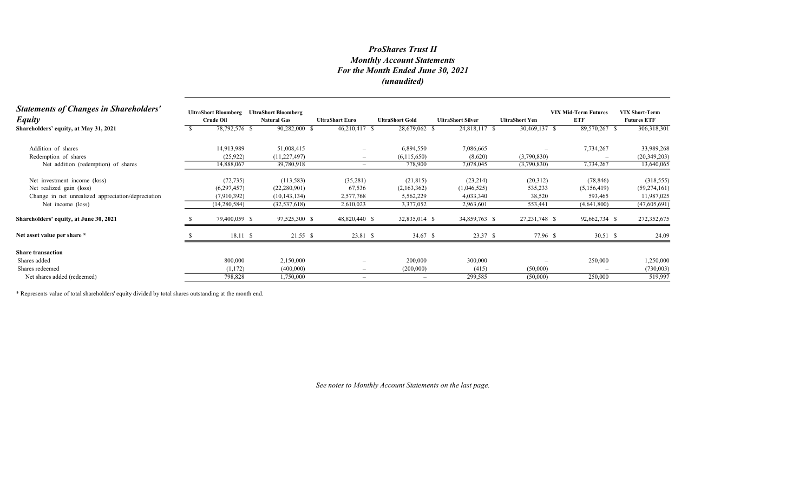# Monthly Account Statements For the Month Ended June 30, 2021 (unaudited) ProShares Trust II

| <b>Statements of Changes in Shareholders'</b><br><b>Equity</b> | <b>UltraShort Bloomberg</b><br>Crude Oil | <b>UltraShort Bloomberg</b><br><b>Natural Gas</b> | <b>UltraShort Euro</b>          | <b>UltraShort Gold</b> | <b>UltraShort Silver</b> | <b>UltraShort Yen</b> | <b>VIX Mid-Term Futures</b><br><b>ETF</b> | <b>VIX Short-Term</b><br><b>Futures ETF</b> |
|----------------------------------------------------------------|------------------------------------------|---------------------------------------------------|---------------------------------|------------------------|--------------------------|-----------------------|-------------------------------------------|---------------------------------------------|
| Shareholders' equity, at May 31, 2021                          | 78,792,576 \$                            | 90,282,000 \$                                     | 46,210,417 \$                   | 28,679,062 \$          | 24,818,117 \$            | 30,469,137 \$         | 89,570,267 \$                             | 306,318,301                                 |
| Addition of shares                                             | 14,913,989                               | 51,008,415                                        | $\overline{\phantom{a}}$        | 6,894,550              | 7,086,665                |                       | 7,734,267                                 | 33,989,268                                  |
| Redemption of shares                                           | (25, 922)                                | (11, 227, 497)                                    | $\overline{\phantom{a}}$        | (6,115,650)            | (8,620)                  | (3,790,830)           |                                           | (20, 349, 203)                              |
| Net addition (redemption) of shares                            | 14,888,067                               | 39,780,918                                        | $\hspace{0.1mm}-\hspace{0.1mm}$ | 778,900                | 7,078,045                | (3,790,830)           | 7,734,267                                 | 13,640,065                                  |
| Net investment income (loss)                                   | (72, 735)                                | (113, 583)                                        | (35,281)                        | (21, 815)              | (23,214)                 | (20,312)              | (78, 846)                                 | (318, 555)                                  |
| Net realized gain (loss)                                       | (6,297,457)                              | (22, 280, 901)                                    | 67,536                          | (2,163,362)            | (1,046,525)              | 535,233               | (5,156,419)                               | (59, 274, 161)                              |
| Change in net unrealized appreciation/depreciation             | (7,910,392)                              | (10, 143, 134)                                    | 2,577,768                       | 5,562,229              | 4,033,340                | 38,520                | 593,465                                   | 11,987,025                                  |
| Net income (loss)                                              | (14, 280, 584)                           | (32, 537, 618)                                    | 2,610,023                       | 3,377,052              | 2,963,601                | 553,441               | (4,641,800)                               | (47,605,691)                                |
| Shareholders' equity, at June 30, 2021                         | 79,400,059 \$                            | 97,525,300 \$                                     | 48,820,440 \$                   | 32,835,014 \$          | 34,859,763 \$            | 27, 231, 748 \$       | 92,662,734 \$                             | 272,352,675                                 |
| Net asset value per share *                                    | 18.11S                                   | $21.55$ \$                                        | 23.81 \$                        | 34.67 \$               | 23.37 \$                 | 77.96 \$              | 30.51 \$                                  | 24.09                                       |
| <b>Share transaction</b>                                       |                                          |                                                   |                                 |                        |                          |                       |                                           |                                             |
| Shares added                                                   | 800,000                                  | 2,150,000                                         | $\overline{\phantom{a}}$        | 200,000                | 300,000                  |                       | 250,000                                   | 1,250,000                                   |
| Shares redeemed                                                | (1,172)                                  | (400,000)                                         | $\overline{\phantom{a}}$        | (200,000)              | (415)                    | (50,000)              |                                           | (730,003)                                   |
| Net shares added (redeemed)                                    | 798,828                                  | 1,750,000                                         | $\overline{\phantom{0}}$        |                        | 299,585                  | (50,000)              | 250,000                                   | 519,997                                     |
|                                                                |                                          |                                                   |                                 |                        |                          |                       |                                           |                                             |

\* Represents value of total shareholders' equity divided by total shares outstanding at the month end.